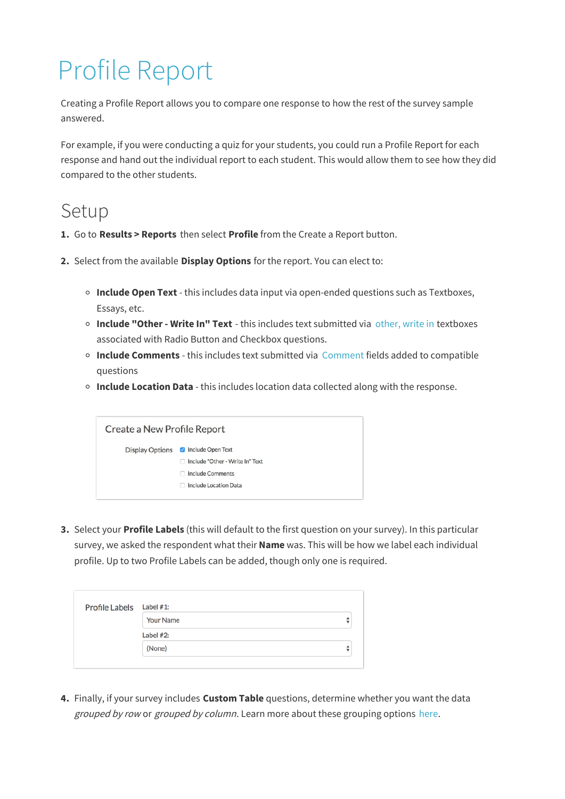## Profile Report

Creating a Profile Report allows you to compare one response to how the rest of the survey sample answered.

For example, if you were conducting a quiz for your students, you could run a Profile Report for each response and hand out the individual report to each student. This would allow them to see how they did compared to the other students.

## Setup

- **1.** Go to **Results > Reports** then select **Profile** from the Create a Report button.
- **2.** Select from the available **Display Options** for the report. You can elect to:
	- **Include Open Text** this includes data input via open-ended questions such as Textboxes, Essays, etc.
	- **Include "Other - Write In" Text** this includes text submitted via other, write in textboxes associated with Radio Button and Checkbox questions.
	- **Include Comments** this includes text submitted via Comment fields added to compatible questions
	- **Include Location Data** this includes location data collected along with the response.



**3.** Select your **Profile Labels** (this will default to the first question on your survey). In this particular survey, we asked the respondent what their **Name** was. This will be how we label each individual profile. Up to two Profile Labels can be added, though only one is required.

| Profile Labels Label #1: |                  |        |  |  |
|--------------------------|------------------|--------|--|--|
|                          | <b>Your Name</b> | ÷      |  |  |
|                          | Label $#2$ :     |        |  |  |
|                          | (None)           | ▴<br>÷ |  |  |

**4.** Finally, if your survey includes **Custom Table** questions, determine whether you want the data grouped by row or grouped by column. Learn more about these grouping options here.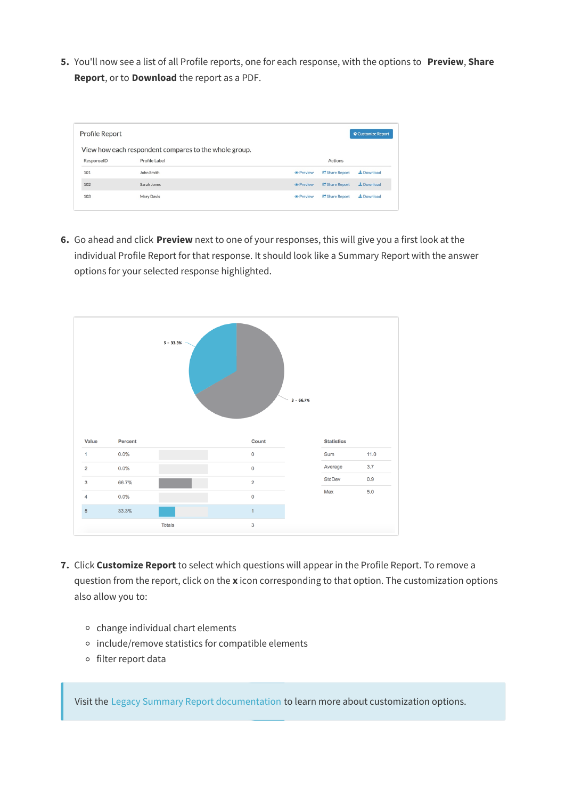**5.** You'll now see a list of all Profile reports, one for each response, with the options to **Preview**, **Share Report**, or to **Download** the report as a PDF.

| <b>Profile Report</b><br><b>☆ Customize Report</b>    |               |                               |                |                   |  |
|-------------------------------------------------------|---------------|-------------------------------|----------------|-------------------|--|
| View how each respondent compares to the whole group. |               |                               |                |                   |  |
| ResponseID                                            | Profile Label |                               | Actions        |                   |  |
| 101                                                   | John Smith    | <b><i>®</i></b> Preview       | C Share Report | <b>上</b> Download |  |
| 102                                                   | Sarah Jones   | <b><i><u></u></i></b> Preview | C Share Report | & Download        |  |
| 103                                                   | Mary Davis    | <b>®</b> Preview              | C Share Report | & Download        |  |
|                                                       |               |                               |                |                   |  |

**6.** Go ahead and click **Preview** next to one of your responses, this will give you a first look at the individual Profile Report for that response. It should look like a Summary Report with the answer options for your selected response highlighted.



- **7.** Click **Customize Report** to select which questions will appear in the Profile Report. To remove a question from the report, click on the **x** icon corresponding to that option. The customization options also allow you to:
	- $\circ$  change individual chart elements
	- o include/remove statistics for compatible elements
	- o filter report data

Visit the Legacy Summary Report documentation to learn more about customization options.